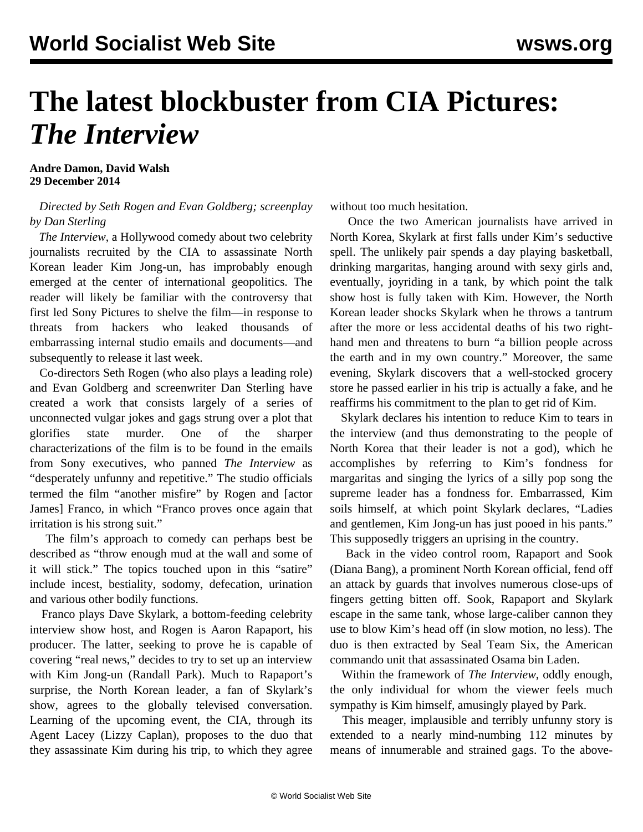## **The latest blockbuster from CIA Pictures:**  *The Interview*

## **Andre Damon, David Walsh 29 December 2014**

## *Directed by Seth Rogen and Evan Goldberg; screenplay by Dan Sterling*

 *The Interview*, a Hollywood comedy about two celebrity journalists recruited by the CIA to assassinate North Korean leader Kim Jong-un, has improbably enough emerged at the center of international geopolitics. The reader will likely be familiar with the controversy that first led Sony Pictures to shelve the film—in response to threats from hackers who leaked thousands of embarrassing internal studio emails and documents—and subsequently to release it last week.

 Co-directors Seth Rogen (who also plays a leading role) and Evan Goldberg and screenwriter Dan Sterling have created a work that consists largely of a series of unconnected vulgar jokes and gags strung over a plot that glorifies state murder. One of the sharper characterizations of the film is to be found in the emails from Sony executives, who panned *The Interview* as "desperately unfunny and repetitive." The studio officials termed the film "another misfire" by Rogen and [actor James] Franco, in which "Franco proves once again that irritation is his strong suit."

 The film's approach to comedy can perhaps best be described as "throw enough mud at the wall and some of it will stick." The topics touched upon in this "satire" include incest, bestiality, sodomy, defecation, urination and various other bodily functions.

 Franco plays Dave Skylark, a bottom-feeding celebrity interview show host, and Rogen is Aaron Rapaport, his producer. The latter, seeking to prove he is capable of covering "real news," decides to try to set up an interview with Kim Jong-un (Randall Park). Much to Rapaport's surprise, the North Korean leader, a fan of Skylark's show, agrees to the globally televised conversation. Learning of the upcoming event, the CIA, through its Agent Lacey (Lizzy Caplan), proposes to the duo that they assassinate Kim during his trip, to which they agree without too much hesitation.

 Once the two American journalists have arrived in North Korea, Skylark at first falls under Kim's seductive spell. The unlikely pair spends a day playing basketball, drinking margaritas, hanging around with sexy girls and, eventually, joyriding in a tank, by which point the talk show host is fully taken with Kim. However, the North Korean leader shocks Skylark when he throws a tantrum after the more or less accidental deaths of his two righthand men and threatens to burn "a billion people across the earth and in my own country." Moreover, the same evening, Skylark discovers that a well-stocked grocery store he passed earlier in his trip is actually a fake, and he reaffirms his commitment to the plan to get rid of Kim.

 Skylark declares his intention to reduce Kim to tears in the interview (and thus demonstrating to the people of North Korea that their leader is not a god), which he accomplishes by referring to Kim's fondness for margaritas and singing the lyrics of a silly pop song the supreme leader has a fondness for. Embarrassed, Kim soils himself, at which point Skylark declares, "Ladies and gentlemen, Kim Jong-un has just pooed in his pants." This supposedly triggers an uprising in the country.

 Back in the video control room, Rapaport and Sook (Diana Bang), a prominent North Korean official, fend off an attack by guards that involves numerous close-ups of fingers getting bitten off. Sook, Rapaport and Skylark escape in the same tank, whose large-caliber cannon they use to blow Kim's head off (in slow motion, no less). The duo is then extracted by Seal Team Six, the American commando unit that assassinated Osama bin Laden.

 Within the framework of *The Interview*, oddly enough, the only individual for whom the viewer feels much sympathy is Kim himself, amusingly played by Park.

 This meager, implausible and terribly unfunny story is extended to a nearly mind-numbing 112 minutes by means of innumerable and strained gags. To the above